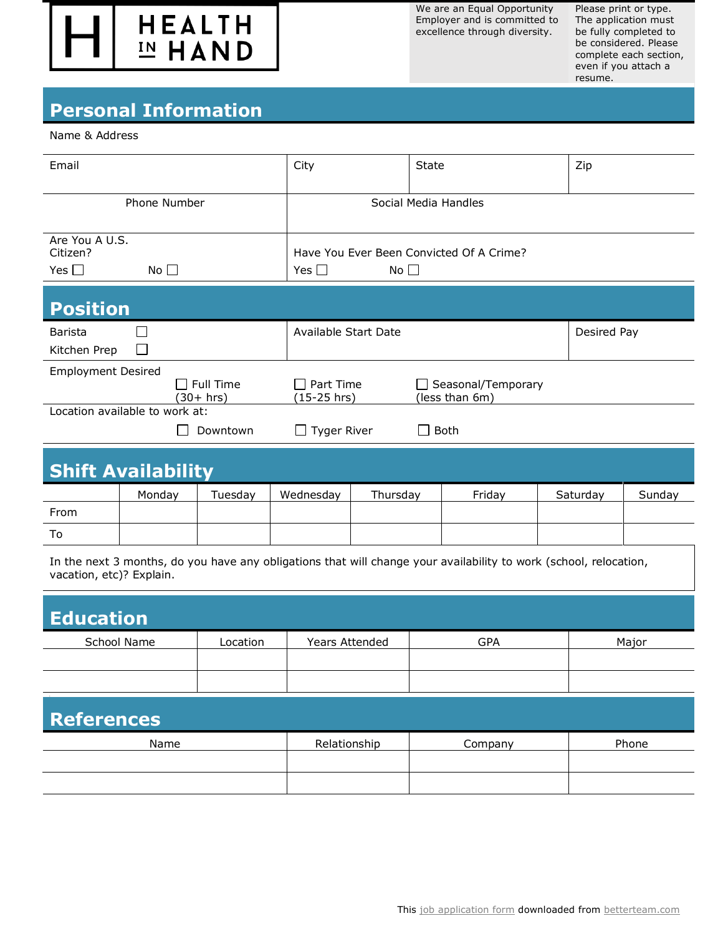

We are an Equal Opportunity Employer and is committed to excellence through diversity.

Please print or type. The application must be fully completed to be considered. Please complete each section, even if you attach a resume.

## **Personal Information**

## Name & Address

| Email                                                    |                        | City                                                                   | State                                | Zip         |  |  |
|----------------------------------------------------------|------------------------|------------------------------------------------------------------------|--------------------------------------|-------------|--|--|
| Phone Number                                             |                        |                                                                        | Social Media Handles                 |             |  |  |
| Are You A U.S.<br>Citizen?<br>Yes $\Box$<br>No $\square$ |                        | Have You Ever Been Convicted Of A Crime?<br>Yes $\Box$<br>No $\square$ |                                      |             |  |  |
| <b>Position</b>                                          |                        |                                                                        |                                      |             |  |  |
| <b>Barista</b><br>$\Box$<br>Kitchen Prep                 |                        | Available Start Date                                                   |                                      | Desired Pay |  |  |
| <b>Employment Desired</b>                                | Full Time<br>(30+ hrs) | Part Time<br>(15-25 hrs)                                               | Seasonal/Temporary<br>(less than 6m) |             |  |  |
| Location available to work at:                           |                        |                                                                        |                                      |             |  |  |
|                                                          | Downtown               | $\Box$ Tyger River                                                     | Both                                 |             |  |  |
|                                                          |                        |                                                                        |                                      |             |  |  |

|      | Mondav | Tuesday | Wednesday | Thursday | Friday | Saturday | Sunday |
|------|--------|---------|-----------|----------|--------|----------|--------|
| From |        |         |           |          |        |          |        |
| To   |        |         |           |          |        |          |        |

In the next 3 months, do you have any obligations that will change your availability to work (school, relocation, vacation, etc)? Explain.

| <b>Education</b>  |          |                |            |       |  |
|-------------------|----------|----------------|------------|-------|--|
| School Name       | Location | Years Attended | <b>GPA</b> | Major |  |
|                   |          |                |            |       |  |
|                   |          |                |            |       |  |
| <b>References</b> |          |                |            |       |  |

| Name | Relationship | Company | Phone |
|------|--------------|---------|-------|
|      |              |         |       |
|      |              |         |       |